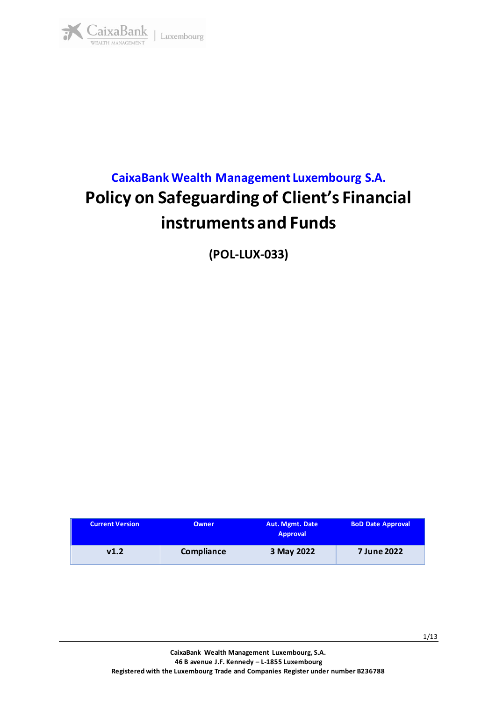

# **CaixaBank Wealth Management Luxembourg S.A. Policy on Safeguarding of Client's Financial instruments and Funds**

**(POL-LUX-033)**

| <b>Current Version</b> | <b>Owner</b> | Aut. Mgmt. Date<br><b>Approval</b> | <b>BoD Date Approval</b> |
|------------------------|--------------|------------------------------------|--------------------------|
| v1.2                   | Compliance   | 3 May 2022                         | 7 June 2022              |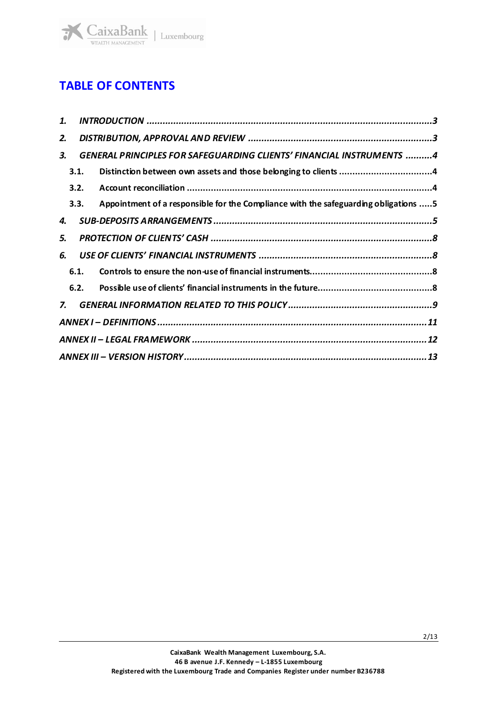

# **TABLE OF CONTENTS**

| 1. |      |                                                                                     |  |
|----|------|-------------------------------------------------------------------------------------|--|
| 2. |      |                                                                                     |  |
| З. |      | <b>GENERAL PRINCIPLES FOR SAFEGUARDING CLIENTS' FINANCIAL INSTRUMENTS 4</b>         |  |
|    | 3.1. |                                                                                     |  |
|    | 3.2. |                                                                                     |  |
|    | 3.3. | Appointment of a responsible for the Compliance with the safeguarding obligations 5 |  |
| 4. |      |                                                                                     |  |
| 5. |      |                                                                                     |  |
| 6. |      |                                                                                     |  |
|    | 6.1. |                                                                                     |  |
|    | 6.2. |                                                                                     |  |
| 7. |      |                                                                                     |  |
|    |      |                                                                                     |  |
|    |      |                                                                                     |  |
|    |      |                                                                                     |  |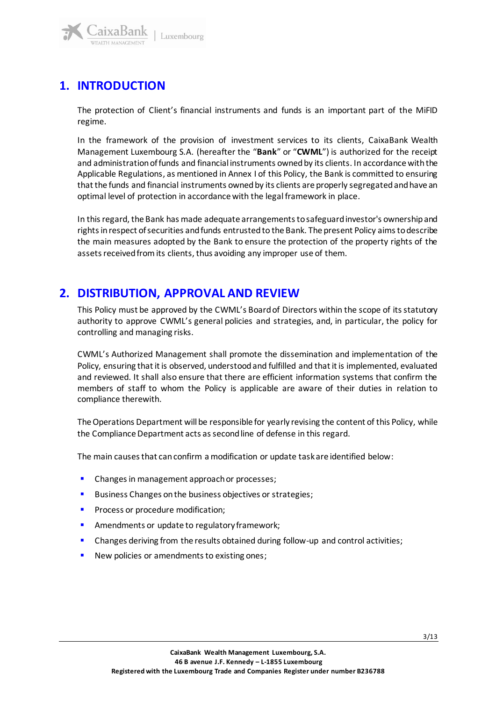

# <span id="page-2-0"></span>**1. INTRODUCTION**

The protection of Client's financial instruments and funds is an important part of the MiFID regime.

In the framework of the provision of investment services to its clients, CaixaBank Wealth Management Luxembourg S.A. (hereafter the "**Bank**" or "**CWML**") is authorized for the receipt and administration of funds and financial instruments owned by its clients. In accordance with the Applicable Regulations, as mentioned in Annex I of this Policy, the Bank is committed to ensuring that the funds and financial instruments owned by its clients are properly segregated and have an optimal level of protection in accordance with the legalframework in place.

In this regard, the Bank has made adequate arrangements to safeguard investor's ownership and rights in respect of securities and funds entrusted to the Bank. The present Policy aims to describe the main measures adopted by the Bank to ensure the protection of the property rights of the assets received from its clients, thus avoiding any improper use of them.

### <span id="page-2-1"></span>**2. DISTRIBUTION, APPROVAL AND REVIEW**

This Policy must be approved by the CWML's Board of Directors within the scope of its statutory authority to approve CWML's general policies and strategies, and, in particular, the policy for controlling and managing risks.

CWML's Authorized Management shall promote the dissemination and implementation of the Policy, ensuring that it is observed, understood and fulfilled and that it is implemented, evaluated and reviewed. It shall also ensure that there are efficient information systems that confirm the members of staff to whom the Policy is applicable are aware of their duties in relation to compliance therewith.

The Operations Department will be responsible for yearly revising the content of this Policy, while the Compliance Department acts as second line of defense in this regard.

The main causes that can confirm a modification or update task are identified below:

- Changes in management approach or processes;
- Business Changes on the business objectives or strategies;
- **•** Process or procedure modification;
- Amendments or update to regulatory framework;
- **•** Changes deriving from the results obtained during follow-up and control activities;
- New policies or amendments to existing ones;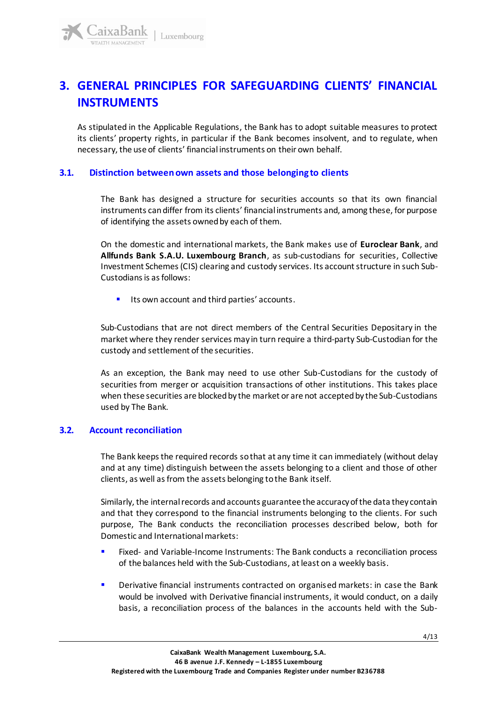# <span id="page-3-0"></span>**3. GENERAL PRINCIPLES FOR SAFEGUARDING CLIENTS' FINANCIAL INSTRUMENTS**

As stipulated in the Applicable Regulations, the Bank has to adopt suitable measures to protect its clients' property rights, in particular if the Bank becomes insolvent, and to regulate, when necessary, the use of clients' financial instruments on their own behalf.

#### <span id="page-3-1"></span>**3.1. Distinction between own assets and those belonging to clients**

The Bank has designed a structure for securities accounts so that its own financial instruments can differ from its clients' financial instruments and, among these, for purpose of identifying the assets owned by each of them.

On the domestic and international markets, the Bank makes use of **Euroclear Bank**, and **Allfunds Bank S.A.U. Luxembourg Branch**, as sub-custodians for securities, Collective Investment Schemes(CIS) clearing and custody services. Its account structure in such Sub-Custodians is as follows:

Its own account and third parties' accounts.

Sub-Custodians that are not direct members of the Central Securities Depositary in the market where they render services may in turn require a third-party Sub-Custodian for the custody and settlement of the securities.

As an exception, the Bank may need to use other Sub-Custodians for the custody of securities from merger or acquisition transactions of other institutions. This takes place when these securities are blocked by the market or are not accepted by the Sub-Custodians used by The Bank.

#### <span id="page-3-2"></span>**3.2. Account reconciliation**

The Bank keeps the required records so that at any time it can immediately (without delay and at any time) distinguish between the assets belonging to a client and those of other clients, as well as from the assets belonging to the Bank itself.

Similarly, the internal records and accounts guarantee the accuracy of the data they contain and that they correspond to the financial instruments belonging to the clients. For such purpose, The Bank conducts the reconciliation processes described below, both for Domestic and International markets:

- Fixed- and Variable-Income Instruments: The Bank conducts a reconciliation process of the balances held with the Sub-Custodians, at least on a weekly basis.
- **•** Derivative financial instruments contracted on organised markets: in case the Bank would be involved with Derivative financial instruments, it would conduct, on a daily basis, a reconciliation process of the balances in the accounts held with the Sub-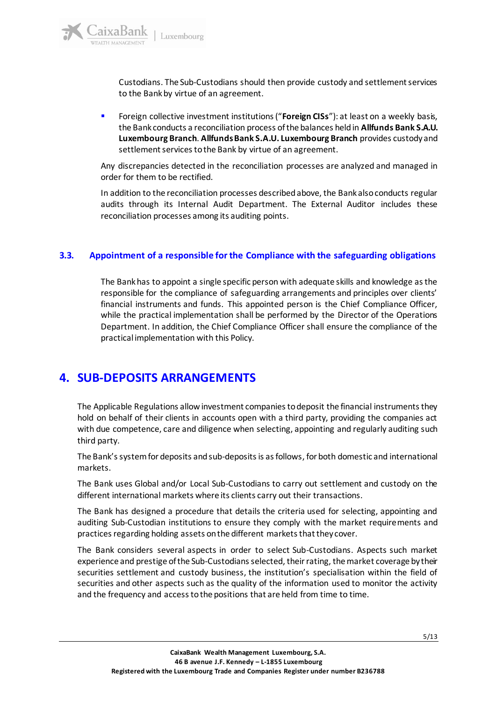Custodians. The Sub-Custodians should then provide custody and settlement services to the Bank by virtue of an agreement.

**EXECT** Foreign collective investment institutions ("Foreign CISs"): at least on a weekly basis, the Bank conducts a reconciliation process of the balances held in **Allfunds Bank S.A.U. Luxembourg Branch**. **Allfunds Bank S.A.U. Luxembourg Branch** provides custody and settlement services to the Bank by virtue of an agreement.

Any discrepancies detected in the reconciliation processes are analyzed and managed in order for them to be rectified.

In addition to the reconciliation processes described above, the Bank also conducts regular audits through its Internal Audit Department. The External Auditor includes these reconciliation processes among its auditing points.

#### <span id="page-4-0"></span>**3.3. Appointment of a responsible for the Compliance with the safeguarding obligations**

The Bank has to appoint a single specific person with adequate skills and knowledge as the responsible for the compliance of safeguarding arrangements and principles over clients' financial instruments and funds. This appointed person is the Chief Compliance Officer, while the practical implementation shall be performed by the Director of the Operations Department. In addition, the Chief Compliance Officer shall ensure the compliance of the practical implementation with this Policy.

### <span id="page-4-1"></span>**4. SUB-DEPOSITS ARRANGEMENTS**

The Applicable Regulations allow investment companies to deposit the financial instruments they hold on behalf of their clients in accounts open with a third party, providing the companies act with due competence, care and diligence when selecting, appointing and regularly auditing such third party.

The Bank's system for deposits and sub-deposits is as follows, for both domestic and international markets.

The Bank uses Global and/or Local Sub-Custodians to carry out settlement and custody on the different international markets where its clients carry out their transactions.

The Bank has designed a procedure that details the criteria used for selecting, appointing and auditing Sub-Custodian institutions to ensure they comply with the market requirements and practices regarding holding assets on the different markets that they cover.

The Bank considers several aspects in order to select Sub-Custodians. Aspects such market experience and prestige of the Sub-Custodians selected, their rating, the market coverage by their securities settlement and custody business, the institution's specialisation within the field of securities and other aspects such as the quality of the information used to monitor the activity and the frequency and access to the positions that are held from time to time.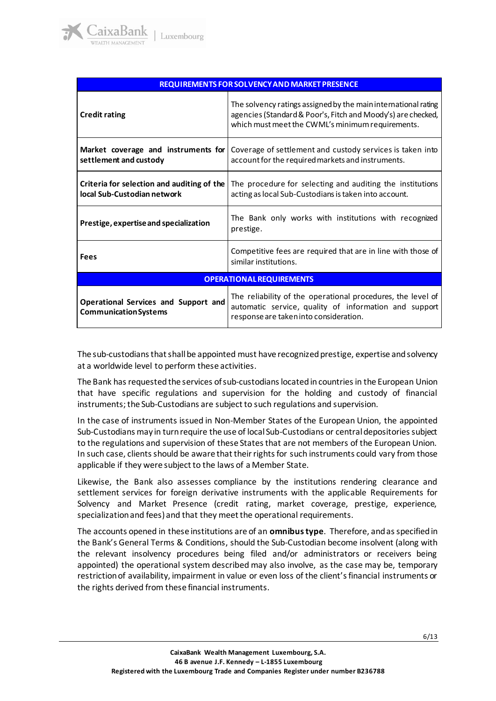| <b>REQUIREMENTS FOR SOLVENCY AND MARKET PRESENCE</b>                      |                                                                                                                                                                                    |  |  |  |  |
|---------------------------------------------------------------------------|------------------------------------------------------------------------------------------------------------------------------------------------------------------------------------|--|--|--|--|
| <b>Credit rating</b>                                                      | The solvency ratings assigned by the main international rating<br>agencies (Standard & Poor's, Fitch and Moody's) are checked,<br>which must meet the CWML's minimum requirements. |  |  |  |  |
| Market coverage and instruments for<br>settlement and custody             | Coverage of settlement and custody services is taken into<br>account for the required markets and instruments.                                                                     |  |  |  |  |
| Criteria for selection and auditing of the<br>local Sub-Custodian network | The procedure for selecting and auditing the institutions<br>acting as local Sub-Custodians is taken into account.                                                                 |  |  |  |  |
| Prestige, expertise and specialization                                    | The Bank only works with institutions with recognized<br>prestige.                                                                                                                 |  |  |  |  |
| <b>Fees</b>                                                               | Competitive fees are required that are in line with those of<br>similar institutions.                                                                                              |  |  |  |  |
| <b>OPERATIONAL REQUIREMENTS</b>                                           |                                                                                                                                                                                    |  |  |  |  |
| Operational Services and Support and<br><b>Communication Systems</b>      | The reliability of the operational procedures, the level of<br>automatic service, quality of information and support<br>response are taken into consideration.                     |  |  |  |  |

The sub-custodians that shall be appointed must have recognized prestige, expertise and solvency at a worldwide level to perform these activities.

The Bank has requestedthe services of sub-custodians located in countries in the European Union that have specific regulations and supervision for the holding and custody of financial instruments; the Sub-Custodians are subject to such regulations and supervision.

In the case of instruments issued in Non-Member States of the European Union, the appointed Sub-Custodians may in turn require the use of local Sub-Custodians or central depositories subject to the regulations and supervision of these States that are not members of the European Union. In such case, clients should be aware that their rights for such instruments could vary from those applicable if they were subject to the laws of a Member State.

Likewise, the Bank also assesses compliance by the institutions rendering clearance and settlement services for foreign derivative instruments with the applicable Requirements for Solvency and Market Presence (credit rating, market coverage, prestige, experience, specialization and fees) and that they meet the operational requirements.

The accounts opened in these institutions are of an **omnibus type**. Therefore, and as specified in the Bank's General Terms & Conditions, should the Sub-Custodian become insolvent (along with the relevant insolvency procedures being filed and/or administrators or receivers being appointed) the operational system described may also involve, as the case may be, temporary restriction of availability, impairment in value or even loss of the client's financial instruments or the rights derived from these financial instruments.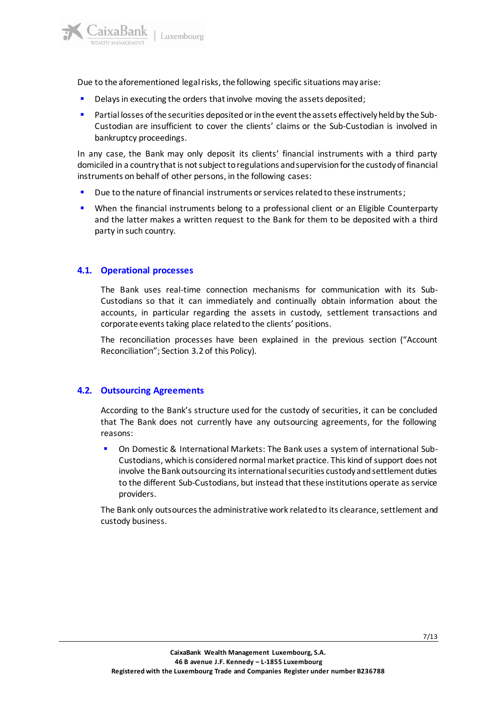

Due to the aforementioned legal risks, the following specific situations may arise:

- **•** Delays in executing the orders that involve moving the assets deposited;
- Partial losses of the securities deposited or in the event the assets effectively held by the Sub-Custodian are insufficient to cover the clients' claims or the Sub-Custodian is involved in bankruptcy proceedings.

In any case, the Bank may only deposit its clients' financial instruments with a third party domiciled in a country that is not subject to regulations and supervision for the custody of financial instruments on behalf of other persons, in the following cases:

- Due to the nature of financial instruments or services related to these instruments;
- **•** When the financial instruments belong to a professional client or an Eligible Counterparty and the latter makes a written request to the Bank for them to be deposited with a third party in such country.

#### **4.1. Operational processes**

The Bank uses real-time connection mechanisms for communication with its Sub-Custodians so that it can immediately and continually obtain information about the accounts, in particular regarding the assets in custody, settlement transactions and corporate events taking place related to the clients' positions.

The reconciliation processes have been explained in the previous section ("Account Reconciliation"; Section 3.2 of this Policy).

#### **4.2. Outsourcing Agreements**

According to the Bank's structure used for the custody of securities, it can be concluded that The Bank does not currently have any outsourcing agreements, for the following reasons:

▪ On Domestic & International Markets: The Bank uses a system of international Sub-Custodians, which is considered normal market practice. This kind of support does not involve the Bank outsourcing its international securities custody and settlement duties to the different Sub-Custodians, but instead that these institutions operate as service providers.

<span id="page-6-0"></span>The Bank only outsources the administrative work related to its clearance, settlement and custody business.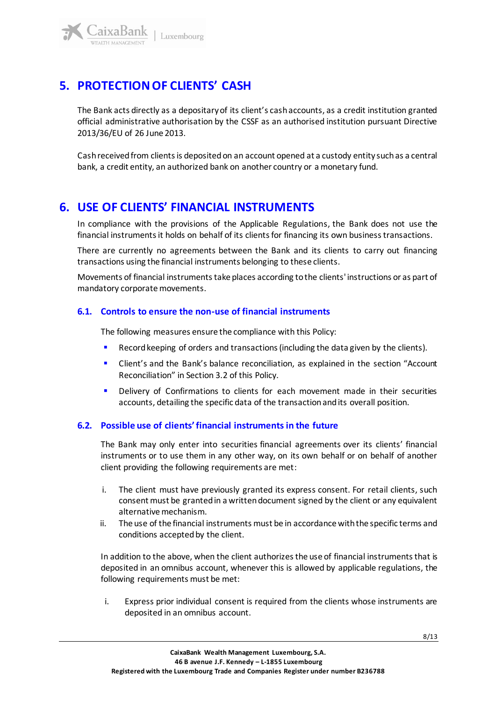# **5. PROTECTION OF CLIENTS' CASH**

The Bank acts directly as a depositary of its client's cash accounts, as a credit institution granted official administrative authorisation by the CSSF as an authorised institution pursuant Directive 2013/36/EU of 26 June 2013.

Cash received from clients is deposited on an account opened at a custody entity such as a central bank, a credit entity, an authorized bank on another country or a monetary fund.

### <span id="page-7-0"></span>**6. USE OF CLIENTS' FINANCIAL INSTRUMENTS**

In compliance with the provisions of the Applicable Regulations, the Bank does not use the financial instruments it holds on behalf of its clients for financing its own business transactions.

There are currently no agreements between the Bank and its clients to carry out financing transactions using the financial instruments belonging to these clients.

Movements of financial instruments take places according to the clients' instructions or as part of mandatory corporate movements.

#### <span id="page-7-1"></span>**6.1. Controls to ensure the non-use of financial instruments**

The following measures ensure the compliance with this Policy:

- Record keeping of orders and transactions (including the data given by the clients).
- **E** Client's and the Bank's balance reconciliation, as explained in the section "Account" Reconciliation" in Section 3.2 of this Policy.
- Delivery of Confirmations to clients for each movement made in their securities accounts, detailing the specific data of the transaction and its overall position.

#### <span id="page-7-2"></span>**6.2. Possible use of clients' financial instruments in the future**

The Bank may only enter into securities financial agreements over its clients' financial instruments or to use them in any other way, on its own behalf or on behalf of another client providing the following requirements are met:

- i. The client must have previously granted its express consent. For retail clients, such consent must be granted in a written document signed by the client or any equivalent alternative mechanism.
- ii. The use of the financial instruments must be in accordance with the specific terms and conditions accepted by the client.

In addition to the above, when the client authorizes the use of financial instruments that is deposited in an omnibus account, whenever this is allowed by applicable regulations, the following requirements must be met:

i. Express prior individual consent is required from the clients whose instruments are deposited in an omnibus account.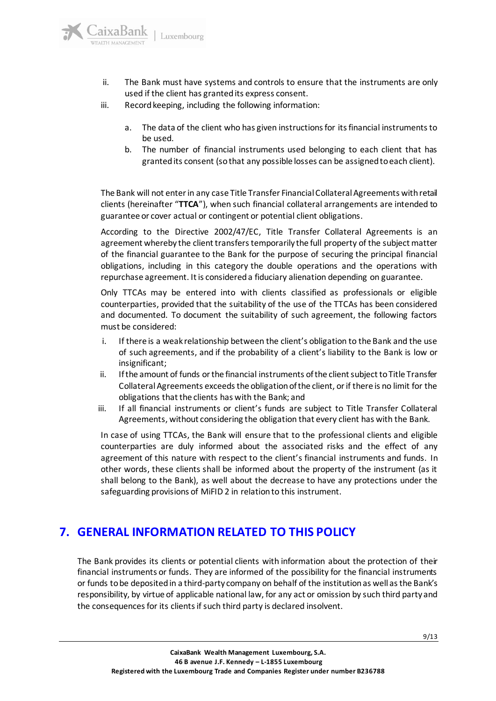

- ii. The Bank must have systems and controls to ensure that the instruments are only used if the client has granted its express consent.
- iii. Record keeping, including the following information:
	- a. The data of the client who has given instructions for its financial instruments to be used.
	- b. The number of financial instruments used belonging to each client that has granted its consent (so that any possible losses can be assigned to each client).

The Bank will not enterin any case Title Transfer Financial Collateral Agreements with retail clients (hereinafter "**TTCA**"), when such financial collateral arrangements are intended to guarantee or cover actual or contingent or potential client obligations.

According to the Directive 2002/47/EC, Title Transfer Collateral Agreements is an agreement whereby the client transfers temporarily the full property of the subject matter of the financial guarantee to the Bank for the purpose of securing the principal financial obligations, including in this category the double operations and the operations with repurchase agreement. It is considered a fiduciary alienation depending on guarantee.

Only TTCAs may be entered into with clients classified as professionals or eligible counterparties, provided that the suitability of the use of the TTCAs has been considered and documented. To document the suitability of such agreement, the following factors must be considered:

- i. If there is a weak relationship between the client's obligation to the Bank and the use of such agreements, and if the probability of a client's liability to the Bank is low or insignificant;
- ii. If the amount of funds or the financial instruments of the client subject to Title Transfer Collateral Agreements exceeds the obligation of the client, or if there is no limit for the obligations that the clients has with the Bank; and
- iii. If all financial instruments or client's funds are subject to Title Transfer Collateral Agreements, without considering the obligation that every client has with the Bank.

In case of using TTCAs, the Bank will ensure that to the professional clients and eligible counterparties are duly informed about the associated risks and the effect of any agreement of this nature with respect to the client's financial instruments and funds. In other words, these clients shall be informed about the property of the instrument (as it shall belong to the Bank), as well about the decrease to have any protections under the safeguarding provisions of MiFID 2 in relation to this instrument.

### <span id="page-8-0"></span>**7. GENERAL INFORMATION RELATED TO THIS POLICY**

The Bank provides its clients or potential clients with information about the protection of their financial instruments or funds. They are informed of the possibility for the financial instruments or funds to be deposited in a third-party company on behalf of the institution as well as the Bank's responsibility, by virtue of applicable national law, for any act or omission by such third party and the consequences for its clients if such third party is declared insolvent.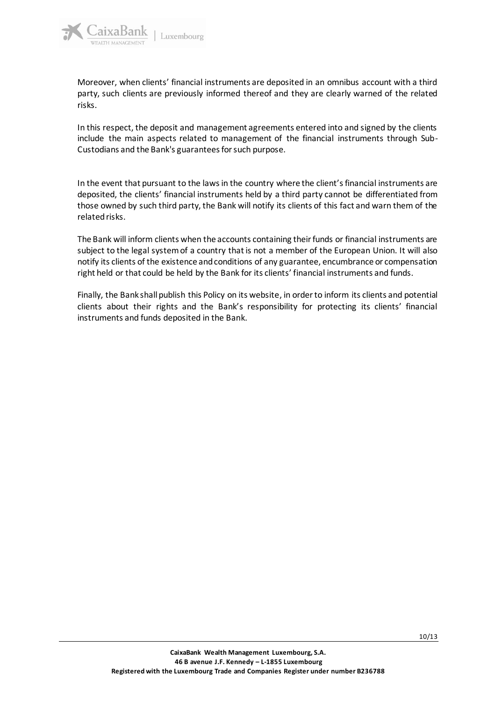

Moreover, when clients' financial instruments are deposited in an omnibus account with a third party, such clients are previously informed thereof and they are clearly warned of the related risks.

In this respect, the deposit and management agreements entered into and signed by the clients include the main aspects related to management of the financial instruments through Sub-Custodians and the Bank's guarantees for such purpose.

In the event that pursuant to the laws in the country where the client's financial instruments are deposited, the clients' financial instruments held by a third party cannot be differentiated from those owned by such third party, the Bank will notify its clients of this fact and warn them of the related risks.

The Bank will inform clients when the accounts containing their funds or financial instruments are subject to the legal system of a country that is not a member of the European Union. It will also notify its clients of the existence and conditions of any guarantee, encumbrance or compensation right held or that could be held by the Bank for its clients' financial instruments and funds.

Finally, the Bank shall publish this Policy on its website, in order to inform its clients and potential clients about their rights and the Bank's responsibility for protecting its clients' financial instruments and funds deposited in the Bank.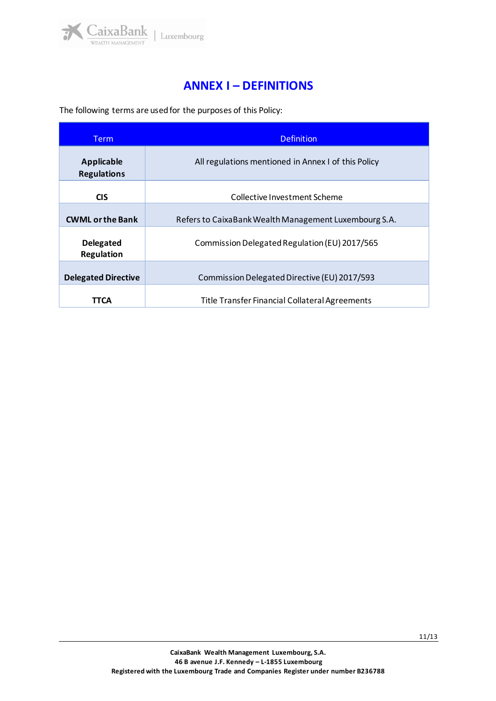

### **ANNEX I – DEFINITIONS**

<span id="page-10-0"></span>The following terms are used for the purposes of this Policy:

| Term                                    | <b>Definition</b>                                     |  |
|-----------------------------------------|-------------------------------------------------------|--|
| <b>Applicable</b><br><b>Regulations</b> | All regulations mentioned in Annex I of this Policy   |  |
| <b>CIS</b>                              | Collective Investment Scheme                          |  |
| <b>CWML or the Bank</b>                 | Refers to CaixaBank Wealth Management Luxembourg S.A. |  |
| <b>Delegated</b><br><b>Regulation</b>   | Commission Delegated Regulation (EU) 2017/565         |  |
| <b>Delegated Directive</b>              | Commission Delegated Directive (EU) 2017/593          |  |
| TTCA                                    | <b>Title Transfer Financial Collateral Agreements</b> |  |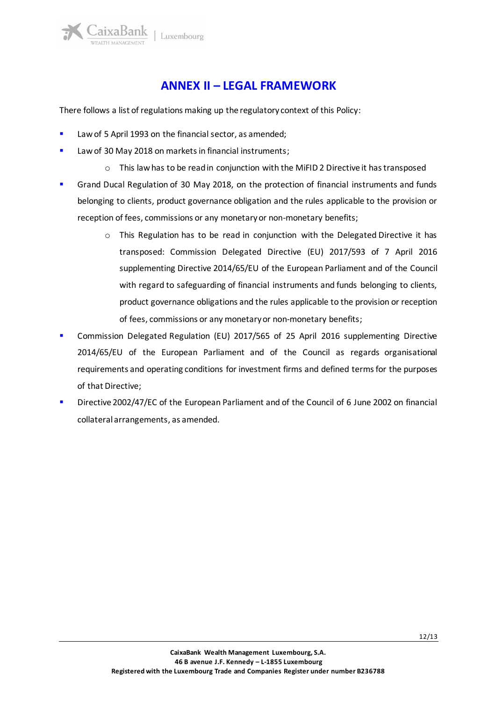aixaBank

# **ANNEX II – LEGAL FRAMEWORK**

<span id="page-11-0"></span>There follows a list of regulations making up the regulatory context of this Policy:

- Law of 5 April 1993 on the financial sector, as amended;
- Law of 30 May 2018 on markets in financial instruments;
	- o This law has to be read in conjunction with the MiFID 2 Directive it has transposed
- **■** Grand Ducal Regulation of 30 May 2018, on the protection of financial instruments and funds belonging to clients, product governance obligation and the rules applicable to the provision or reception of fees, commissions or any monetary or non-monetary benefits;
	- $\circ$  This Regulation has to be read in conjunction with the Delegated Directive it has transposed: Commission Delegated Directive (EU) 2017/593 of 7 April 2016 supplementing Directive 2014/65/EU of the European Parliament and of the Council with regard to safeguarding of financial instruments and funds belonging to clients, product governance obligations and the rules applicable to the provision or reception of fees, commissions or any monetary or non-monetary benefits;
- **•** Commission Delegated Regulation (EU) 2017/565 of 25 April 2016 supplementing Directive 2014/65/EU of the European Parliament and of the Council as regards organisational requirements and operating conditions for investment firms and defined terms for the purposes of that Directive;
- **•** Directive 2002/47/EC of the European Parliament and of the Council of 6 June 2002 on financial collateral arrangements, as amended.